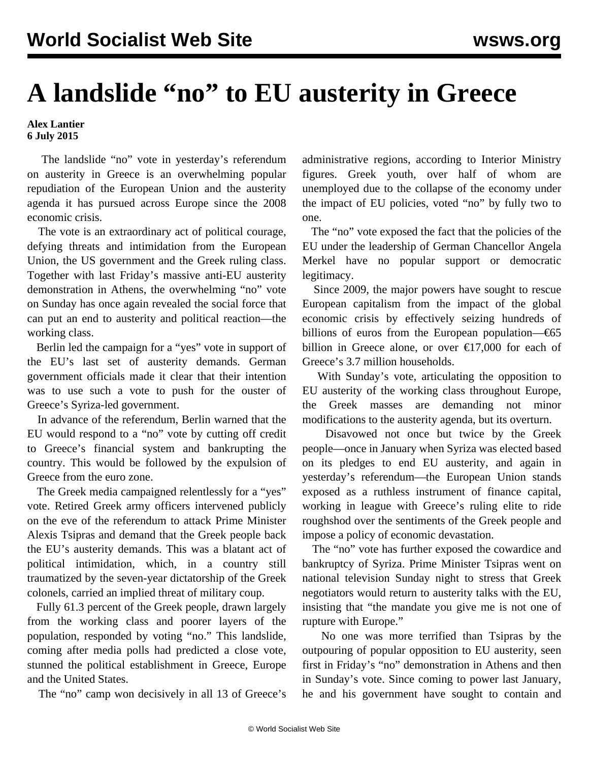## **A landslide "no" to EU austerity in Greece**

**Alex Lantier 6 July 2015**

 The landslide "no" vote in yesterday's referendum on austerity in Greece is an overwhelming popular repudiation of the European Union and the austerity agenda it has pursued across Europe since the 2008 economic crisis.

 The vote is an extraordinary act of political courage, defying threats and intimidation from the European Union, the US government and the Greek ruling class. Together with last Friday's massive anti-EU austerity demonstration in Athens, the overwhelming "no" vote on Sunday has once again revealed the social force that can put an end to austerity and political reaction—the working class.

 Berlin led the campaign for a "yes" vote in support of the EU's last set of austerity demands. German government officials made it clear that their intention was to use such a vote to push for the ouster of Greece's Syriza-led government.

 In advance of the referendum, Berlin warned that the EU would respond to a "no" vote by cutting off credit to Greece's financial system and bankrupting the country. This would be followed by the expulsion of Greece from the euro zone.

 The Greek media campaigned relentlessly for a "yes" vote. Retired Greek army officers intervened publicly on the eve of the referendum to attack Prime Minister Alexis Tsipras and demand that the Greek people back the EU's austerity demands. This was a blatant act of political intimidation, which, in a country still traumatized by the seven-year dictatorship of the Greek colonels, carried an implied threat of military coup.

 Fully 61.3 percent of the Greek people, drawn largely from the working class and poorer layers of the population, responded by voting "no." This landslide, coming after media polls had predicted a close vote, stunned the political establishment in Greece, Europe and the United States.

The "no" camp won decisively in all 13 of Greece's

administrative regions, according to Interior Ministry figures. Greek youth, over half of whom are unemployed due to the collapse of the economy under the impact of EU policies, voted "no" by fully two to one.

 The "no" vote exposed the fact that the policies of the EU under the leadership of German Chancellor Angela Merkel have no popular support or democratic legitimacy.

 Since 2009, the major powers have sought to rescue European capitalism from the impact of the global economic crisis by effectively seizing hundreds of billions of euros from the European population—€65 billion in Greece alone, or over  $\epsilon$ 17,000 for each of Greece's 3.7 million households.

 With Sunday's vote, articulating the opposition to EU austerity of the working class throughout Europe, the Greek masses are demanding not minor modifications to the austerity agenda, but its overturn.

 Disavowed not once but twice by the Greek people—once in January when Syriza was elected based on its pledges to end EU austerity, and again in yesterday's referendum—the European Union stands exposed as a ruthless instrument of finance capital, working in league with Greece's ruling elite to ride roughshod over the sentiments of the Greek people and impose a policy of economic devastation.

 The "no" vote has further exposed the cowardice and bankruptcy of Syriza. Prime Minister Tsipras went on national television Sunday night to stress that Greek negotiators would return to austerity talks with the EU, insisting that "the mandate you give me is not one of rupture with Europe."

 No one was more terrified than Tsipras by the outpouring of popular opposition to EU austerity, seen first in Friday's "no" demonstration in Athens and then in Sunday's vote. Since coming to power last January, he and his government have sought to contain and